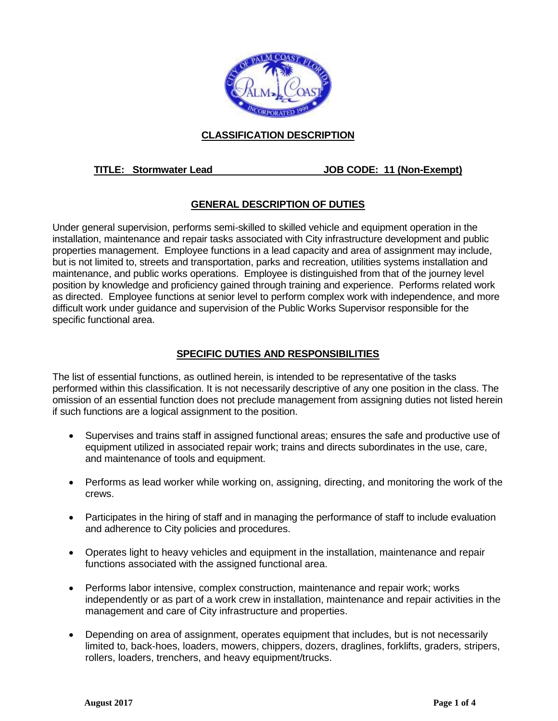

# **CLASSIFICATION DESCRIPTION**

### **TITLE: Stormwater Lead JOB CODE: 11 (Non-Exempt)**

# **GENERAL DESCRIPTION OF DUTIES**

Under general supervision, performs semi-skilled to skilled vehicle and equipment operation in the installation, maintenance and repair tasks associated with City infrastructure development and public properties management. Employee functions in a lead capacity and area of assignment may include, but is not limited to, streets and transportation, parks and recreation, utilities systems installation and maintenance, and public works operations. Employee is distinguished from that of the journey level position by knowledge and proficiency gained through training and experience. Performs related work as directed. Employee functions at senior level to perform complex work with independence, and more difficult work under guidance and supervision of the Public Works Supervisor responsible for the specific functional area.

### **SPECIFIC DUTIES AND RESPONSIBILITIES**

The list of essential functions, as outlined herein, is intended to be representative of the tasks performed within this classification. It is not necessarily descriptive of any one position in the class. The omission of an essential function does not preclude management from assigning duties not listed herein if such functions are a logical assignment to the position.

- Supervises and trains staff in assigned functional areas; ensures the safe and productive use of equipment utilized in associated repair work; trains and directs subordinates in the use, care, and maintenance of tools and equipment.
- Performs as lead worker while working on, assigning, directing, and monitoring the work of the crews.
- Participates in the hiring of staff and in managing the performance of staff to include evaluation and adherence to City policies and procedures.
- Operates light to heavy vehicles and equipment in the installation, maintenance and repair functions associated with the assigned functional area.
- Performs labor intensive, complex construction, maintenance and repair work; works independently or as part of a work crew in installation, maintenance and repair activities in the management and care of City infrastructure and properties.
- Depending on area of assignment, operates equipment that includes, but is not necessarily limited to, back-hoes, loaders, mowers, chippers, dozers, draglines, forklifts, graders, stripers, rollers, loaders, trenchers, and heavy equipment/trucks.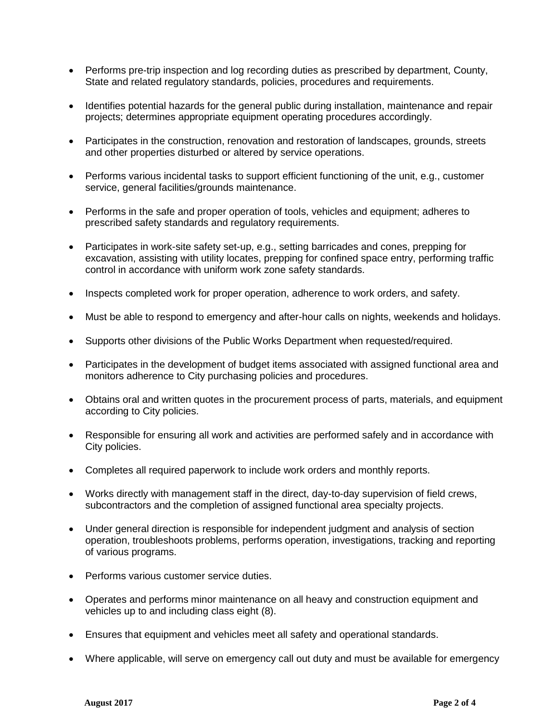- Performs pre-trip inspection and log recording duties as prescribed by department, County, State and related regulatory standards, policies, procedures and requirements.
- Identifies potential hazards for the general public during installation, maintenance and repair projects; determines appropriate equipment operating procedures accordingly.
- Participates in the construction, renovation and restoration of landscapes, grounds, streets and other properties disturbed or altered by service operations.
- Performs various incidental tasks to support efficient functioning of the unit, e.g., customer service, general facilities/grounds maintenance.
- Performs in the safe and proper operation of tools, vehicles and equipment; adheres to prescribed safety standards and regulatory requirements.
- Participates in work-site safety set-up, e.g., setting barricades and cones, prepping for excavation, assisting with utility locates, prepping for confined space entry, performing traffic control in accordance with uniform work zone safety standards.
- Inspects completed work for proper operation, adherence to work orders, and safety.
- Must be able to respond to emergency and after-hour calls on nights, weekends and holidays.
- Supports other divisions of the Public Works Department when requested/required.
- Participates in the development of budget items associated with assigned functional area and monitors adherence to City purchasing policies and procedures.
- Obtains oral and written quotes in the procurement process of parts, materials, and equipment according to City policies.
- Responsible for ensuring all work and activities are performed safely and in accordance with City policies.
- Completes all required paperwork to include work orders and monthly reports.
- Works directly with management staff in the direct, day-to-day supervision of field crews, subcontractors and the completion of assigned functional area specialty projects.
- Under general direction is responsible for independent judgment and analysis of section operation, troubleshoots problems, performs operation, investigations, tracking and reporting of various programs.
- Performs various customer service duties.
- Operates and performs minor maintenance on all heavy and construction equipment and vehicles up to and including class eight (8).
- Ensures that equipment and vehicles meet all safety and operational standards.
- Where applicable, will serve on emergency call out duty and must be available for emergency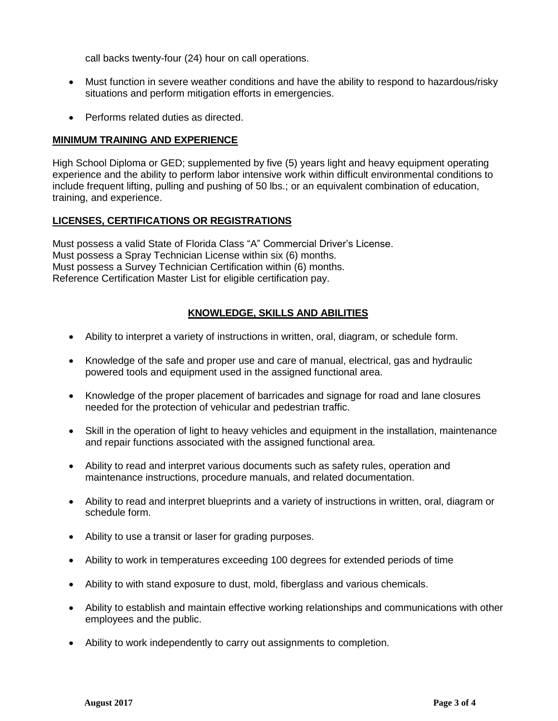call backs twenty-four (24) hour on call operations.

- Must function in severe weather conditions and have the ability to respond to hazardous/risky situations and perform mitigation efforts in emergencies.
- Performs related duties as directed.

### **MINIMUM TRAINING AND EXPERIENCE**

High School Diploma or GED; supplemented by five (5) years light and heavy equipment operating experience and the ability to perform labor intensive work within difficult environmental conditions to include frequent lifting, pulling and pushing of 50 lbs.; or an equivalent combination of education, training, and experience.

### **LICENSES, CERTIFICATIONS OR REGISTRATIONS**

Must possess a valid State of Florida Class "A" Commercial Driver's License. Must possess a Spray Technician License within six (6) months. Must possess a Survey Technician Certification within (6) months. Reference Certification Master List for eligible certification pay.

### **KNOWLEDGE, SKILLS AND ABILITIES**

- Ability to interpret a variety of instructions in written, oral, diagram, or schedule form.
- Knowledge of the safe and proper use and care of manual, electrical, gas and hydraulic powered tools and equipment used in the assigned functional area.
- Knowledge of the proper placement of barricades and signage for road and lane closures needed for the protection of vehicular and pedestrian traffic.
- Skill in the operation of light to heavy vehicles and equipment in the installation, maintenance and repair functions associated with the assigned functional area.
- Ability to read and interpret various documents such as safety rules, operation and maintenance instructions, procedure manuals, and related documentation.
- Ability to read and interpret blueprints and a variety of instructions in written, oral, diagram or schedule form.
- Ability to use a transit or laser for grading purposes.
- Ability to work in temperatures exceeding 100 degrees for extended periods of time
- Ability to with stand exposure to dust, mold, fiberglass and various chemicals.
- Ability to establish and maintain effective working relationships and communications with other employees and the public.
- Ability to work independently to carry out assignments to completion.